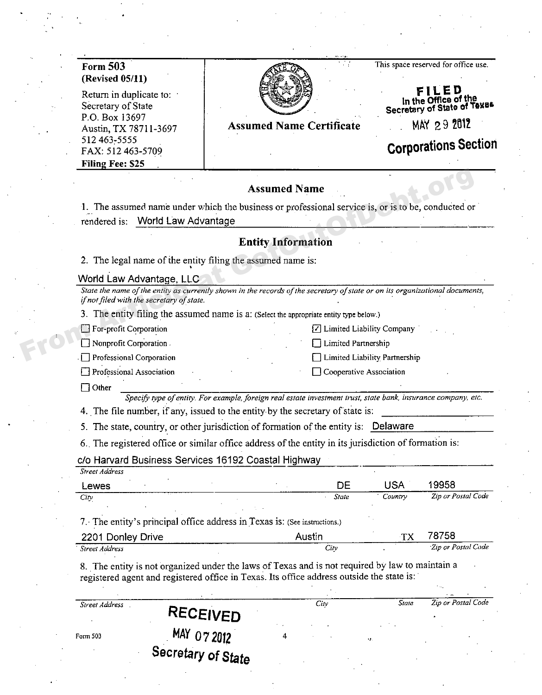| <b>Form 503</b>                                                                                                                                                           |                                                                                                                |                             |                               | This space reserved for office use. |
|---------------------------------------------------------------------------------------------------------------------------------------------------------------------------|----------------------------------------------------------------------------------------------------------------|-----------------------------|-------------------------------|-------------------------------------|
| (Revised 05/11)                                                                                                                                                           |                                                                                                                |                             |                               |                                     |
| Return in duplicate to:                                                                                                                                                   |                                                                                                                |                             |                               | In the Office of the                |
| Secretary of State<br>P.O. Box 13697                                                                                                                                      |                                                                                                                |                             |                               | Secretary of State of Texas         |
| Austin, TX 78711-3697                                                                                                                                                     | <b>Assumed Name Certificate</b>                                                                                |                             |                               | MAY 29 2012                         |
| 512 463-5555                                                                                                                                                              |                                                                                                                |                             |                               | <b>Corporations Section</b>         |
| FAX: 512 463-5709<br>Filing Fee: \$25                                                                                                                                     |                                                                                                                |                             |                               |                                     |
|                                                                                                                                                                           |                                                                                                                |                             |                               |                                     |
|                                                                                                                                                                           | <b>Assumed Name</b>                                                                                            |                             |                               |                                     |
| 1. The assumed name under which the business or professional service is, or is to be, conducted or                                                                        |                                                                                                                |                             |                               |                                     |
| <b>World Law Advantage</b><br>rendered is:                                                                                                                                |                                                                                                                |                             |                               |                                     |
|                                                                                                                                                                           | <b>Entity Information</b>                                                                                      |                             |                               |                                     |
|                                                                                                                                                                           |                                                                                                                |                             |                               |                                     |
| 2. The legal name of the entity filing the assumed name is:                                                                                                               |                                                                                                                |                             |                               |                                     |
| World Law Advantage, LLC                                                                                                                                                  |                                                                                                                |                             |                               |                                     |
| State the name of the entity as currently shown in the records of the secretary of state or on its organizational documents,<br>if not filed with the secretary of state. |                                                                                                                |                             |                               |                                     |
| 3. The entity filing the assumed name is a: (Select the appropriate entity type below.)                                                                                   |                                                                                                                |                             |                               |                                     |
| For-profit Corporation                                                                                                                                                    |                                                                                                                | ☑ Limited Liability Company |                               |                                     |
| Nonprofit Corporation.                                                                                                                                                    |                                                                                                                | Limited Partnership         |                               |                                     |
| Professional Corporation                                                                                                                                                  |                                                                                                                |                             | Limited Liability Partnership |                                     |
| Professional Association                                                                                                                                                  |                                                                                                                | Cooperative Association     |                               |                                     |
| Other                                                                                                                                                                     |                                                                                                                |                             |                               |                                     |
|                                                                                                                                                                           | Specify type of entity. For example, foreign real estate investment trust, state bank, insurance company, etc. |                             |                               |                                     |
| 4. The file number, if any, issued to the entity by the secretary of state is:                                                                                            |                                                                                                                |                             |                               |                                     |
| 5. The state, country, or other jurisdiction of formation of the entity is: Delaware                                                                                      |                                                                                                                |                             |                               |                                     |
| 6. The registered office or similar office address of the entity in its jurisdiction of formation is:                                                                     |                                                                                                                |                             |                               |                                     |
| c/o Harvard Business Services 16192 Coastal Highway                                                                                                                       |                                                                                                                |                             |                               |                                     |
| Street Address                                                                                                                                                            |                                                                                                                |                             |                               |                                     |
| Lewes<br>City                                                                                                                                                             |                                                                                                                | DE<br>State                 | <b>USA</b><br>Country         | 19958<br>Zip or Postal Code         |
|                                                                                                                                                                           |                                                                                                                |                             |                               |                                     |
| 7. The entity's principal office address in Texas is: (See instructions.)                                                                                                 |                                                                                                                |                             |                               |                                     |
| 2201 Donley Drive                                                                                                                                                         | Austin                                                                                                         |                             | TX                            | 78758                               |
| <b>Street Address</b>                                                                                                                                                     |                                                                                                                | City                        |                               | Zip or Postal Code                  |
|                                                                                                                                                                           | 8. The entity is not organized under the laws of Texas and is not required by law to maintain a                |                             |                               |                                     |
|                                                                                                                                                                           |                                                                                                                |                             |                               |                                     |
| registered agent and registered office in Texas. Its office address outside the state is:                                                                                 |                                                                                                                |                             |                               |                                     |

 $\overline{4}$ 

MAY 07 2012<br>Secretary of State

Form 503